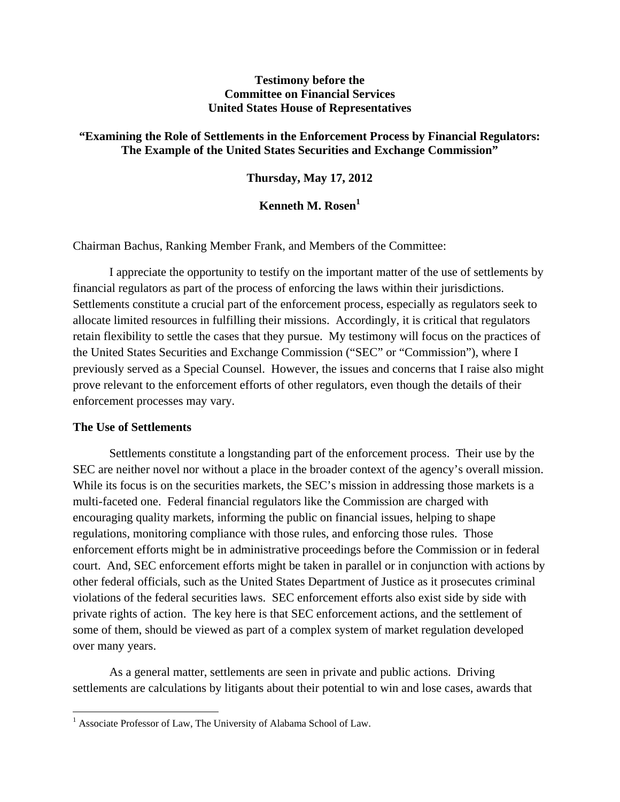## **Testimony before the Committee on Financial Services United States House of Representatives**

# **"Examining the Role of Settlements in the Enforcement Process by Financial Regulators: The Example of the United States Securities and Exchange Commission"**

# **Thursday, May 17, 2012**

# **Kenneth M. Rosen**<sup>1</sup>

Chairman Bachus, Ranking Member Frank, and Members of the Committee:

I appreciate the opportunity to testify on the important matter of the use of settlements by financial regulators as part of the process of enforcing the laws within their jurisdictions. Settlements constitute a crucial part of the enforcement process, especially as regulators seek to allocate limited resources in fulfilling their missions. Accordingly, it is critical that regulators retain flexibility to settle the cases that they pursue. My testimony will focus on the practices of the United States Securities and Exchange Commission ("SEC" or "Commission"), where I previously served as a Special Counsel. However, the issues and concerns that I raise also might prove relevant to the enforcement efforts of other regulators, even though the details of their enforcement processes may vary.

#### **The Use of Settlements**

Settlements constitute a longstanding part of the enforcement process. Their use by the SEC are neither novel nor without a place in the broader context of the agency's overall mission. While its focus is on the securities markets, the SEC's mission in addressing those markets is a multi-faceted one. Federal financial regulators like the Commission are charged with encouraging quality markets, informing the public on financial issues, helping to shape regulations, monitoring compliance with those rules, and enforcing those rules. Those enforcement efforts might be in administrative proceedings before the Commission or in federal court. And, SEC enforcement efforts might be taken in parallel or in conjunction with actions by other federal officials, such as the United States Department of Justice as it prosecutes criminal violations of the federal securities laws. SEC enforcement efforts also exist side by side with private rights of action. The key here is that SEC enforcement actions, and the settlement of some of them, should be viewed as part of a complex system of market regulation developed over many years.

As a general matter, settlements are seen in private and public actions. Driving settlements are calculations by litigants about their potential to win and lose cases, awards that

<sup>&</sup>lt;sup>1</sup> Associate Professor of Law, The University of Alabama School of Law.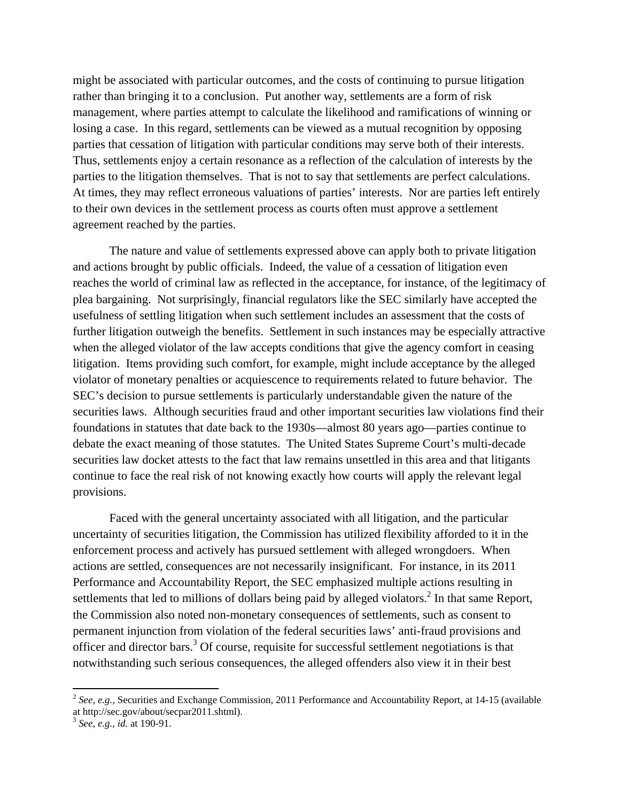might be associated with particular outcomes, and the costs of continuing to pursue litigation rather than bringing it to a conclusion. Put another way, settlements are a form of risk management, where parties attempt to calculate the likelihood and ramifications of winning or losing a case. In this regard, settlements can be viewed as a mutual recognition by opposing parties that cessation of litigation with particular conditions may serve both of their interests. Thus, settlements enjoy a certain resonance as a reflection of the calculation of interests by the parties to the litigation themselves. That is not to say that settlements are perfect calculations. At times, they may reflect erroneous valuations of parties' interests. Nor are parties left entirely to their own devices in the settlement process as courts often must approve a settlement agreement reached by the parties.

The nature and value of settlements expressed above can apply both to private litigation and actions brought by public officials. Indeed, the value of a cessation of litigation even reaches the world of criminal law as reflected in the acceptance, for instance, of the legitimacy of plea bargaining. Not surprisingly, financial regulators like the SEC similarly have accepted the usefulness of settling litigation when such settlement includes an assessment that the costs of further litigation outweigh the benefits. Settlement in such instances may be especially attractive when the alleged violator of the law accepts conditions that give the agency comfort in ceasing litigation. Items providing such comfort, for example, might include acceptance by the alleged violator of monetary penalties or acquiescence to requirements related to future behavior. The SEC's decision to pursue settlements is particularly understandable given the nature of the securities laws. Although securities fraud and other important securities law violations find their foundations in statutes that date back to the 1930s—almost 80 years ago—parties continue to debate the exact meaning of those statutes. The United States Supreme Court's multi-decade securities law docket attests to the fact that law remains unsettled in this area and that litigants continue to face the real risk of not knowing exactly how courts will apply the relevant legal provisions.

 Faced with the general uncertainty associated with all litigation, and the particular uncertainty of securities litigation, the Commission has utilized flexibility afforded to it in the enforcement process and actively has pursued settlement with alleged wrongdoers. When actions are settled, consequences are not necessarily insignificant. For instance, in its 2011 Performance and Accountability Report, the SEC emphasized multiple actions resulting in settlements that led to millions of dollars being paid by alleged violators. $<sup>2</sup>$  In that same Report,</sup> the Commission also noted non-monetary consequences of settlements, such as consent to permanent injunction from violation of the federal securities laws' anti-fraud provisions and officer and director bars.<sup>3</sup> Of course, requisite for successful settlement negotiations is that notwithstanding such serious consequences, the alleged offenders also view it in their best

<sup>2</sup> *See, e.g.,* Securities and Exchange Commission, 2011 Performance and Accountability Report, at 14-15 (available at http://sec.gov/about/secpar2011.shtml).

<sup>3</sup> *See, e.g., id.* at 190-91.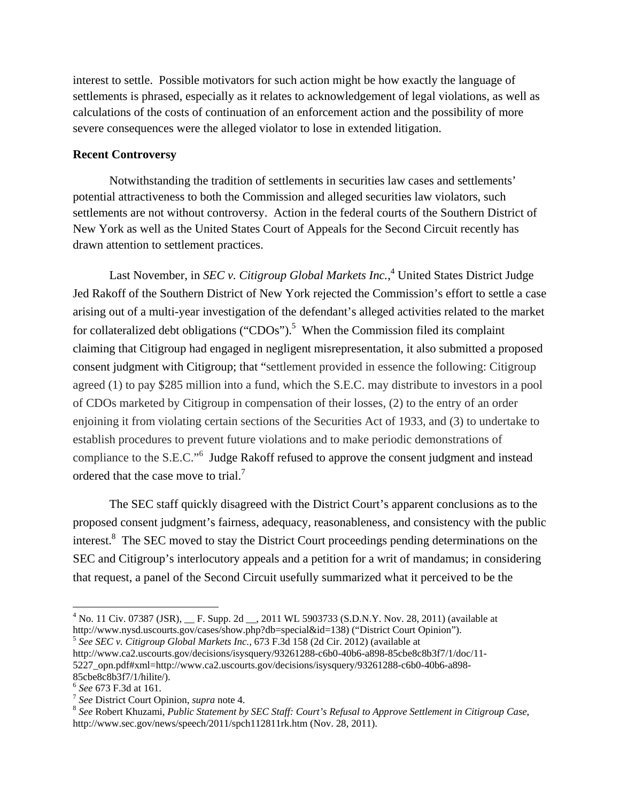interest to settle. Possible motivators for such action might be how exactly the language of settlements is phrased, especially as it relates to acknowledgement of legal violations, as well as calculations of the costs of continuation of an enforcement action and the possibility of more severe consequences were the alleged violator to lose in extended litigation.

### **Recent Controversy**

Notwithstanding the tradition of settlements in securities law cases and settlements' potential attractiveness to both the Commission and alleged securities law violators, such settlements are not without controversy. Action in the federal courts of the Southern District of New York as well as the United States Court of Appeals for the Second Circuit recently has drawn attention to settlement practices.

Last November, in *SEC v. Citigroup Global Markets Inc.*,<sup>4</sup> United States District Judge Jed Rakoff of the Southern District of New York rejected the Commission's effort to settle a case arising out of a multi-year investigation of the defendant's alleged activities related to the market for collateralized debt obligations ("CDOs").<sup>5</sup> When the Commission filed its complaint claiming that Citigroup had engaged in negligent misrepresentation, it also submitted a proposed consent judgment with Citigroup; that "settlement provided in essence the following: Citigroup agreed (1) to pay \$285 million into a fund, which the S.E.C. may distribute to investors in a pool of CDOs marketed by Citigroup in compensation of their losses, (2) to the entry of an order enjoining it from violating certain sections of the Securities Act of 1933, and (3) to undertake to establish procedures to prevent future violations and to make periodic demonstrations of compliance to the S.E.C."<sup>6</sup> Judge Rakoff refused to approve the consent judgment and instead ordered that the case move to trial.<sup>7</sup>

 The SEC staff quickly disagreed with the District Court's apparent conclusions as to the proposed consent judgment's fairness, adequacy, reasonableness, and consistency with the public interest.<sup>8</sup> The SEC moved to stay the District Court proceedings pending determinations on the SEC and Citigroup's interlocutory appeals and a petition for a writ of mandamus; in considering that request, a panel of the Second Circuit usefully summarized what it perceived to be the

http://www.ca2.uscourts.gov/decisions/isysquery/93261288-c6b0-40b6-a898-85cbe8c8b3f7/1/doc/11- 5227\_opn.pdf#xml=http://www.ca2.uscourts.gov/decisions/isysquery/93261288-c6b0-40b6-a898-

 $^{4}$  No. 11 Civ. 07387 (JSR),  $\_\_$  F. Supp. 2d  $\_\_$ , 2011 WL 5903733 (S.D.N.Y. Nov. 28, 2011) (available at http://www.nysd.uscourts.gov/cases/show.php?db=special&id=138) ("District Court Opinion"). 5 *See SEC v. Citigroup Global Markets Inc.,* 673 F.3d 158 (2d Cir. 2012) (available at

<sup>85</sup>cbe8c8b3f7/1/hilite/).<br><sup>6</sup> See 673 F.3d at 161.

<sup>&</sup>lt;sup>7</sup> *See* District Court Opinion, *supra* note 4.<br><sup>8</sup> *See* Robert Khuzami, *Public Statement by SEC Staff: Court's Refusal to Approve Settlement in Citigroup Case,* http://www.sec.gov/news/speech/2011/spch112811rk.htm (Nov. 28, 2011).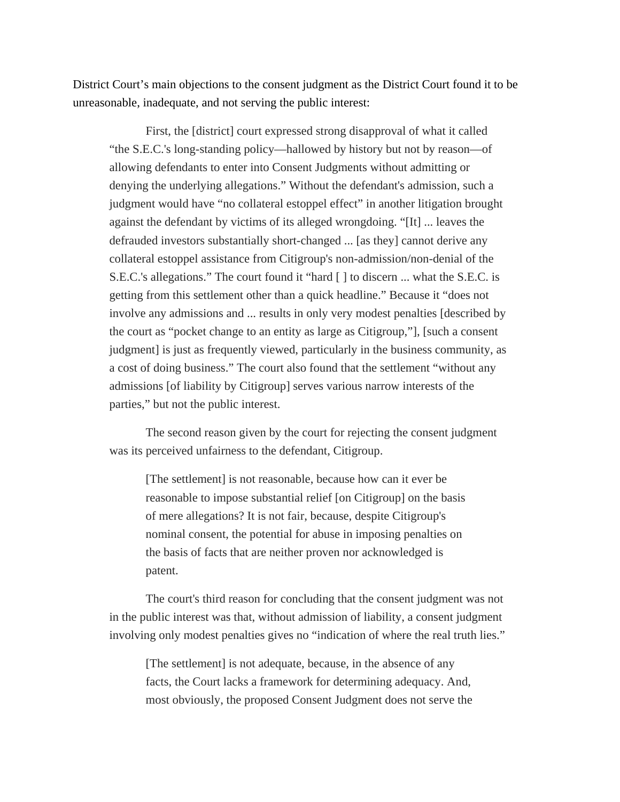District Court's main objections to the consent judgment as the District Court found it to be unreasonable, inadequate, and not serving the public interest:

First, the [district] court expressed strong disapproval of what it called "the S.E.C.'s long-standing policy—hallowed by history but not by reason—of allowing defendants to enter into Consent Judgments without admitting or denying the underlying allegations." Without the defendant's admission, such a judgment would have "no collateral estoppel effect" in another litigation brought against the defendant by victims of its alleged wrongdoing. "[It] ... leaves the defrauded investors substantially short-changed ... [as they] cannot derive any collateral estoppel assistance from Citigroup's non-admission/non-denial of the S.E.C.'s allegations." The court found it "hard [ ] to discern ... what the S.E.C. is getting from this settlement other than a quick headline." Because it "does not involve any admissions and ... results in only very modest penalties [described by the court as "pocket change to an entity as large as Citigroup,"], [such a consent judgment] is just as frequently viewed, particularly in the business community, as a cost of doing business." The court also found that the settlement "without any admissions [of liability by Citigroup] serves various narrow interests of the parties," but not the public interest.

The second reason given by the court for rejecting the consent judgment was its perceived unfairness to the defendant, Citigroup.

[The settlement] is not reasonable, because how can it ever be reasonable to impose substantial relief [on Citigroup] on the basis of mere allegations? It is not fair, because, despite Citigroup's nominal consent, the potential for abuse in imposing penalties on the basis of facts that are neither proven nor acknowledged is patent.

The court's third reason for concluding that the consent judgment was not in the public interest was that, without admission of liability, a consent judgment involving only modest penalties gives no "indication of where the real truth lies."

[The settlement] is not adequate, because, in the absence of any facts, the Court lacks a framework for determining adequacy. And, most obviously, the proposed Consent Judgment does not serve the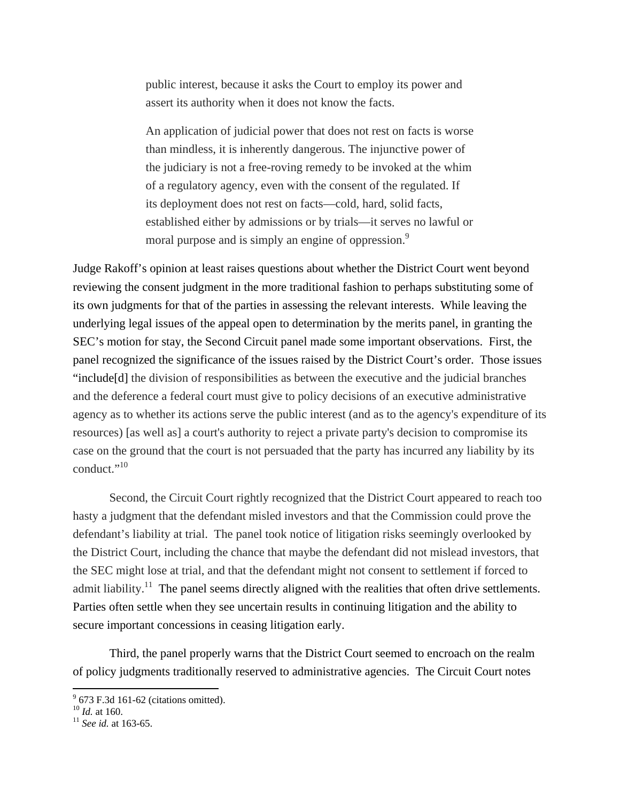public interest, because it asks the Court to employ its power and assert its authority when it does not know the facts.

An application of judicial power that does not rest on facts is worse than mindless, it is inherently dangerous. The injunctive power of the judiciary is not a free-roving remedy to be invoked at the whim of a regulatory agency, even with the consent of the regulated. If its deployment does not rest on facts—cold, hard, solid facts, established either by admissions or by trials—it serves no lawful or moral purpose and is simply an engine of oppression.<sup>9</sup>

Judge Rakoff's opinion at least raises questions about whether the District Court went beyond reviewing the consent judgment in the more traditional fashion to perhaps substituting some of its own judgments for that of the parties in assessing the relevant interests. While leaving the underlying legal issues of the appeal open to determination by the merits panel, in granting the SEC's motion for stay, the Second Circuit panel made some important observations. First, the panel recognized the significance of the issues raised by the District Court's order. Those issues "include[d] the division of responsibilities as between the executive and the judicial branches and the deference a federal court must give to policy decisions of an executive administrative agency as to whether its actions serve the public interest (and as to the agency's expenditure of its resources) [as well as] a court's authority to reject a private party's decision to compromise its case on the ground that the court is not persuaded that the party has incurred any liability by its conduct."<sup>10</sup>

Second, the Circuit Court rightly recognized that the District Court appeared to reach too hasty a judgment that the defendant misled investors and that the Commission could prove the defendant's liability at trial. The panel took notice of litigation risks seemingly overlooked by the District Court, including the chance that maybe the defendant did not mislead investors, that the SEC might lose at trial, and that the defendant might not consent to settlement if forced to admit liability.<sup>11</sup> The panel seems directly aligned with the realities that often drive settlements. Parties often settle when they see uncertain results in continuing litigation and the ability to secure important concessions in ceasing litigation early.

Third, the panel properly warns that the District Court seemed to encroach on the realm of policy judgments traditionally reserved to administrative agencies. The Circuit Court notes

  $9^9$  673 F.3d 161-62 (citations omitted).

<sup>10</sup> *Id.* at 160. 11 *See id.* at 163-65.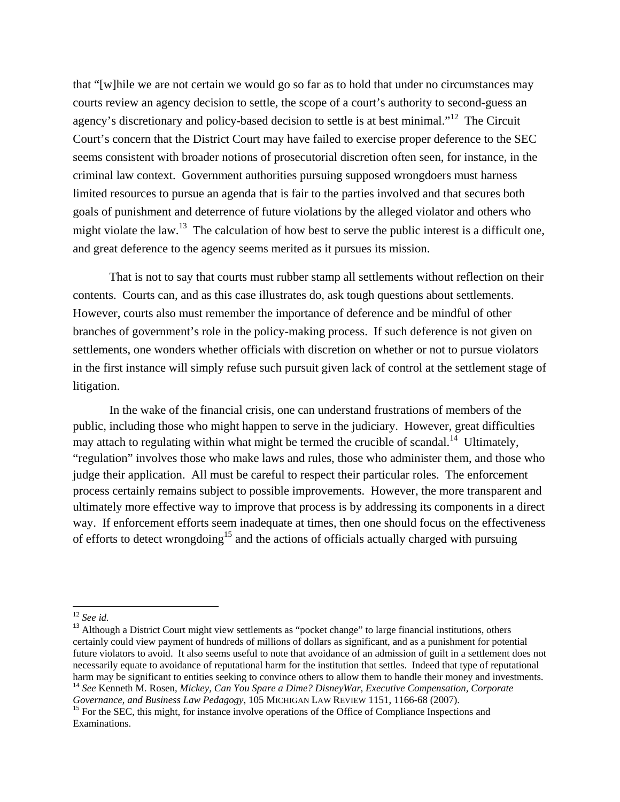that "[w]hile we are not certain we would go so far as to hold that under no circumstances may courts review an agency decision to settle, the scope of a court's authority to second-guess an agency's discretionary and policy-based decision to settle is at best minimal."<sup>12</sup> The Circuit Court's concern that the District Court may have failed to exercise proper deference to the SEC seems consistent with broader notions of prosecutorial discretion often seen, for instance, in the criminal law context. Government authorities pursuing supposed wrongdoers must harness limited resources to pursue an agenda that is fair to the parties involved and that secures both goals of punishment and deterrence of future violations by the alleged violator and others who might violate the law.<sup>13</sup> The calculation of how best to serve the public interest is a difficult one, and great deference to the agency seems merited as it pursues its mission.

That is not to say that courts must rubber stamp all settlements without reflection on their contents. Courts can, and as this case illustrates do, ask tough questions about settlements. However, courts also must remember the importance of deference and be mindful of other branches of government's role in the policy-making process. If such deference is not given on settlements, one wonders whether officials with discretion on whether or not to pursue violators in the first instance will simply refuse such pursuit given lack of control at the settlement stage of litigation.

 In the wake of the financial crisis, one can understand frustrations of members of the public, including those who might happen to serve in the judiciary. However, great difficulties may attach to regulating within what might be termed the crucible of scandal.<sup>14</sup> Ultimately, "regulation" involves those who make laws and rules, those who administer them, and those who judge their application. All must be careful to respect their particular roles. The enforcement process certainly remains subject to possible improvements. However, the more transparent and ultimately more effective way to improve that process is by addressing its components in a direct way. If enforcement efforts seem inadequate at times, then one should focus on the effectiveness of efforts to detect wrongdoing<sup>15</sup> and the actions of officials actually charged with pursuing

<sup>&</sup>lt;sup>12</sup> *See id.* <sup>13</sup> Although a District Court might view settlements as "pocket change" to large financial institutions, others certainly could view payment of hundreds of millions of dollars as significant, and as a punishment for potential future violators to avoid. It also seems useful to note that avoidance of an admission of guilt in a settlement does not necessarily equate to avoidance of reputational harm for the institution that settles. Indeed that type of reputational harm may be significant to entities seeking to convince others to allow them to handle their money and investments. <sup>14</sup> *See* Kenneth M. Rosen, *Mickey, Can You Spare a Dime? DisneyWar, Executive Compensation, Corporate* 

*Governance*, *and Business Law Pedagogy*, 105 MICHIGAN LAW REVIEW 1151, 1166-68 (2007).<br><sup>15</sup> For the SEC, this might, for instance involve operations of the Office of Compliance Inspections and Examinations.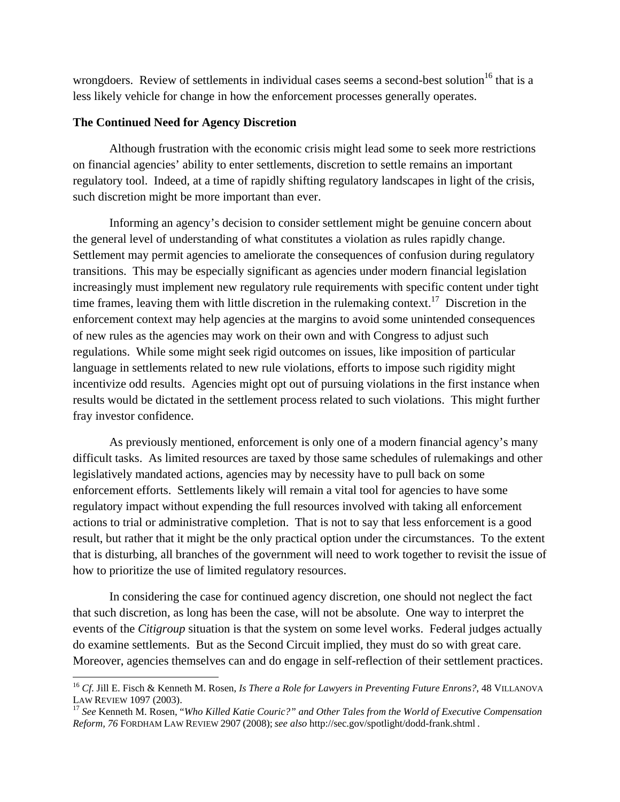wrongdoers. Review of settlements in individual cases seems a second-best solution<sup>16</sup> that is a less likely vehicle for change in how the enforcement processes generally operates.

### **The Continued Need for Agency Discretion**

Although frustration with the economic crisis might lead some to seek more restrictions on financial agencies' ability to enter settlements, discretion to settle remains an important regulatory tool. Indeed, at a time of rapidly shifting regulatory landscapes in light of the crisis, such discretion might be more important than ever.

 Informing an agency's decision to consider settlement might be genuine concern about the general level of understanding of what constitutes a violation as rules rapidly change. Settlement may permit agencies to ameliorate the consequences of confusion during regulatory transitions. This may be especially significant as agencies under modern financial legislation increasingly must implement new regulatory rule requirements with specific content under tight time frames, leaving them with little discretion in the rulemaking context.<sup>17</sup> Discretion in the enforcement context may help agencies at the margins to avoid some unintended consequences of new rules as the agencies may work on their own and with Congress to adjust such regulations. While some might seek rigid outcomes on issues, like imposition of particular language in settlements related to new rule violations, efforts to impose such rigidity might incentivize odd results. Agencies might opt out of pursuing violations in the first instance when results would be dictated in the settlement process related to such violations. This might further fray investor confidence.

 As previously mentioned, enforcement is only one of a modern financial agency's many difficult tasks. As limited resources are taxed by those same schedules of rulemakings and other legislatively mandated actions, agencies may by necessity have to pull back on some enforcement efforts. Settlements likely will remain a vital tool for agencies to have some regulatory impact without expending the full resources involved with taking all enforcement actions to trial or administrative completion. That is not to say that less enforcement is a good result, but rather that it might be the only practical option under the circumstances. To the extent that is disturbing, all branches of the government will need to work together to revisit the issue of how to prioritize the use of limited regulatory resources.

 In considering the case for continued agency discretion, one should not neglect the fact that such discretion, as long has been the case, will not be absolute. One way to interpret the events of the *Citigroup* situation is that the system on some level works. Federal judges actually do examine settlements. But as the Second Circuit implied, they must do so with great care. Moreover, agencies themselves can and do engage in self-reflection of their settlement practices.

<sup>16</sup> *Cf*. Jill E. Fisch & Kenneth M. Rosen, *Is There a Role for Lawyers in Preventing Future Enrons?*, 48 VILLANOVA LAW REVIEW 1097 (2003).<br><sup>17</sup> *See Kenneth M. Rosen, "Who Killed Katie Couric?" and Other Tales from the World of Executive Compensation* 

*Reform, 76* FORDHAM LAW REVIEW 2907 (2008); *see also* http://sec.gov/spotlight/dodd-frank.shtml .